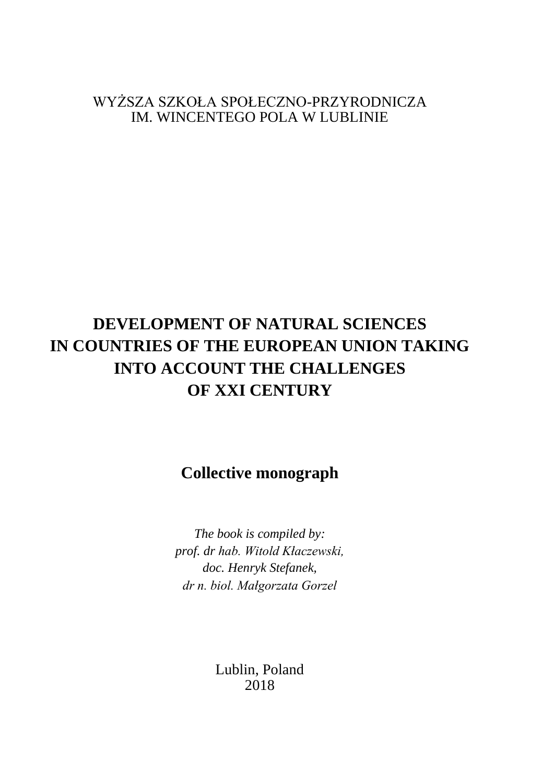WYŻSZA SZKOŁA SPOŁECZNO-PRZYRODNICZA IM. WINCENTEGO POLA W LUBLINIE

# **DEVELOPMENT OF NATURAL SCIENCES IN COUNTRIES OF THE EUROPEAN UNION TAKING INTO ACCOUNT THE CHALLENGES OF XXI CENTURY**

## **Collective monograph**

*The book is compiled by: prof. dr hab. Witold Kłaczewski, doc. Henryk Stefanek, dr n. biol. Małgorzata Gorzel*

> Lublin, Poland 2018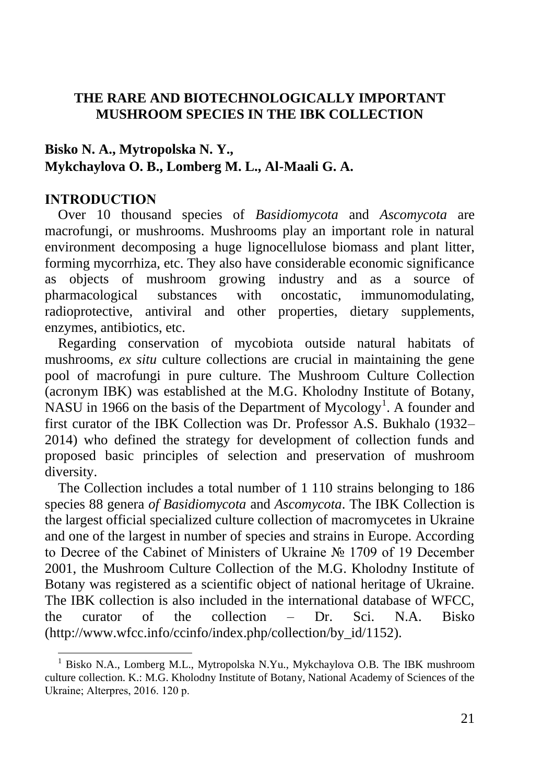## **THE RARE AND BIOTECHNOLOGICALLY IMPORTANT MUSHROOM SPECIES IN THE IBK COLLECTION**

## **Bisko N. A., Mytropolska N. Y., Mykchaylova O. B., Lomberg M. L., Al-Maali G. A.**

### **INTRODUCTION**

 $\overline{a}$ 

Over 10 thousand species of *Basidiomycota* and *Ascomycota* are macrofungi, or mushrooms. Mushrooms play an important role in natural environment decomposing a huge lignocellulose biomass and plant litter, forming mycorrhiza, etc. They also have considerable economic significance as objects of mushroom growing industry and as a source of pharmacological substances with oncostatic, immunomodulating, radioprotective, antiviral and other properties, dietary supplements, enzymes, antibiotics, etc.

Regarding conservation of mycobiota outside natural habitats of mushrooms, *ex situ* culture collections are crucial in maintaining the gene pool of macrofungi in pure culture. The Mushroom Culture Collection (acronym IBK) was established at the M.G. Kholodny Institute of Botany, NASU in 1966 on the basis of the Department of Mycology<sup>1</sup>. A founder and first curator of the IBK Collection was Dr. Professor A.S. Bukhalo (1932– 2014) who defined the strategy for development of collection funds and proposed basic principles of selection and preservation of mushroom diversity.

The Collection includes a total number of 1 110 strains belonging to 186 species 88 genera *of Basidiomycota* and *Ascomycota*. The IBK Collection is the largest official specialized culture collection of macromycetes in Ukraine and one of the largest in number of species and strains in Europe. According to Decree of the Cabinet of Ministers of Ukraine № 1709 of 19 December 2001, the Mushroom Culture Collection of the M.G. Kholodny Institute of Botany was registered as a scientific object of national heritage of Ukraine. The IBK collection is also included in the international database of WFCC, the curator of the collection – Dr. Sci. N.A. Bisko (http://www.wfcc.info/ccinfo/index.php/collection/by\_id/1152).

<sup>&</sup>lt;sup>1</sup> Bisko N.A., Lomberg M.L., Mytropolska N.Yu., Mykchaylova O.B. The IBK mushroom culture collection. K.: M.G. Kholodny Institute of Botany, National Academy of Sciences of the Ukraine; Alterpres, 2016. 120 р.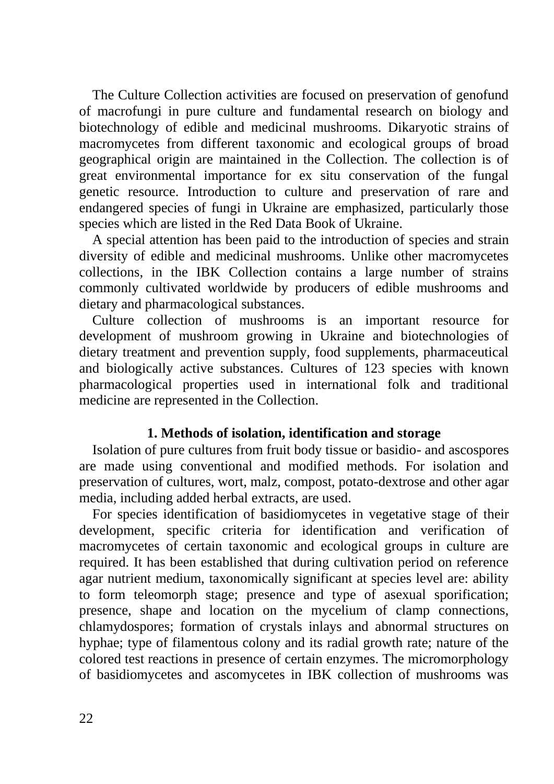The Culture Collection activities are focused on preservation of genofund of macrofungi in pure culture and fundamental research on biology and biotechnology of edible and medicinal mushrooms. Dikaryotic strains of macromycetes from different taxonomic and ecological groups of broad geographical origin are maintained in the Collection. The collection is of great environmental importance for ex situ conservation of the fungal genetic resource. Introduction to culture and preservation of rare and endangered species of fungi in Ukraine are emphasized, particularly those species which are listed in the Red Data Book of Ukraine.

A special attention has been paid to the introduction of species and strain diversity of edible and medicinal mushrooms. Unlike other macromycetes collections, in the IBK Collection contains a large number of strains commonly cultivated worldwide by producers of edible mushrooms and dietary and pharmacological substances.

Culture collection of mushrooms is an important resource for development of mushroom growing in Ukraine and biotechnologies of dietary treatment and prevention supply, food supplements, pharmaceutical and biologically active substances. Cultures of 123 species with known pharmacological properties used in international folk and traditional medicine are represented in the Collection.

## **1. Methods of isolation, identification and storage**

Isolation of pure cultures from fruit body tissue or basidio- and ascospores are made using conventional and modified methods. For isolation and preservation of cultures, wort, malz, compost, potato-dextrose and other agar media, including added herbal extracts, are used.

For species identification of basidiomycetes in vegetative stage of their development, specific criteria for identification and verification of macromycetes of certain taxonomic and ecological groups in culture are required. It has been established that during cultivation period on reference agar nutrient medium, taxonomically significant at species level are: ability to form teleomorph stage; presence and type of asexual sporification; presence, shape and location on the mycelium of clamp connections, chlamydospores; formation of crystals inlays and abnormal structures on hyphae; type of filamentous colony and its radial growth rate; nature of the colored test reactions in presence of certain enzymes. The micromorphology of basidiomycetes and ascomycetes in IBK collection of mushrooms was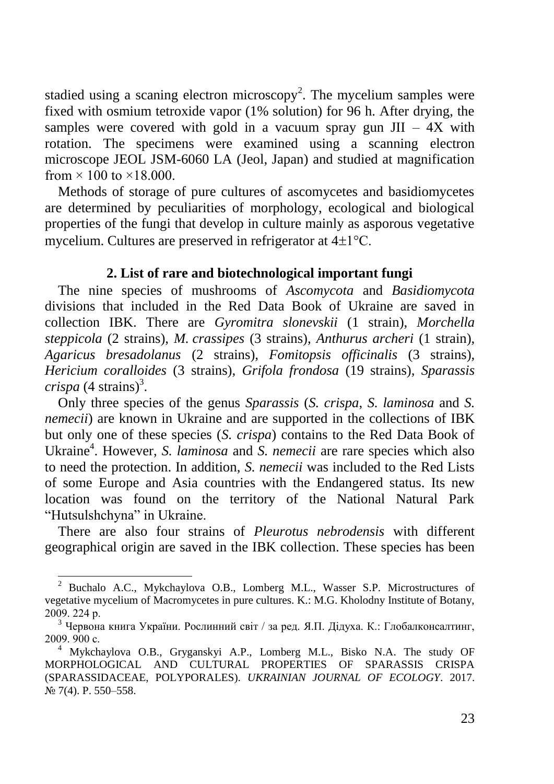stadied using a scaning electron microscopy<sup>2</sup>. The mycelium samples were fixed with osmium tetroxide vapor (1% solution) for 96 h. After drying, the samples were covered with gold in a vacuum spray gun  $JII - 4X$  with rotation. The specimens were examined using a scanning electron microscope JEOL JSM-6060 LA (Jeol, Japan) and studied at magnification from  $\times$  100 to  $\times$ 18.000.

Methods of storage of pure cultures of ascomycetes and basidiomycetes are determined by peculiarities of morphology, ecological and biological properties of the fungi that develop in culture mainly as asporous vegetative mycelium. Cultures are preserved in refrigerator at  $4\pm1^{\circ}$ C.

### **2. List of rare and biotechnological important fungi**

The nine species of mushrooms of *Ascomycota* and *Basidiomycota*  divisions that included in the Red Data Book of Ukraine are saved in collection IBK. There are *Gyromitra slonevskii* (1 strain), *Morchella steppicola* (2 strains), *M. crassipes* (3 strains), *Anthurus archeri* (1 strain), *Agaricus bresadolanus* (2 strains), *Fomitopsis officinalis* (3 strains), *Hericium coralloides* (3 strains), *Grifola frondosa* (19 strains), *Sparassis crispa*  $(4 \text{ strains})^3$ .

Only three species of the genus *Sparassis* (*S. crispa*, *S. laminosa* and *S. nemecii*) are known in Ukraine and are supported in the collections of IBK but only one of these species (*S. crispa*) contains to the Red Data Book of Ukraine<sup>4</sup>. However, *S. laminosa* and *S. nemecii* are rare species which also to need the protection. In addition, *S. nemecii* was included to the Red Lists of some Europe and Asia countries with the Endangered status. Its new location was found on the territory of the National Natural Park "Hutsulshchyna" in Ukraine.

There are also four strains of *Pleurotus nebrodensis* with different geographical origin are saved in the IBK collection. These species has been

<sup>2</sup> Buchalo A.C., Mykchaylova O.B., Lomberg M.L., Wasser S.P. Microstructures of vegetative mycelium of Macromycetes in pure cultures. K.: M.G. Kholodny Institute of Botany, 2009. 224 р.

<sup>&</sup>lt;sup>3</sup> Червона книга України. Рослинний світ / за ред. Я.П. Дідуха. К.: Глобалконсалтинг, 2009. 900 с.

<sup>&</sup>lt;sup>4</sup> Mykchaylova O.B., Gryganskyi A.P., Lomberg M.L., Bisko N.A. The study OF MORPHOLOGICAL AND CULTURAL PROPERTIES OF SPARASSIS CRISPA (SPARASSIDACEAE, POLYPORALES). *UKRAINIAN JOURNAL OF ECOLOGY*. 2017. № 7(4). P. 550–558.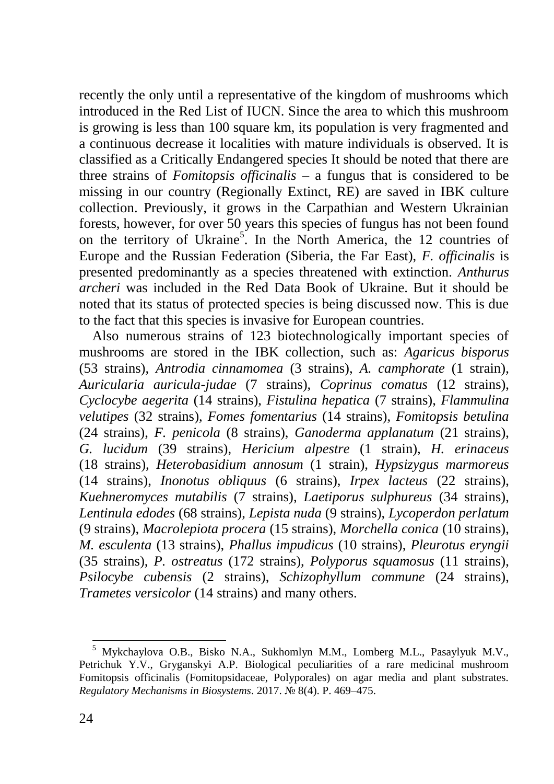recently the only until a representative of the kingdom of mushrooms which introduced in the Red List of IUCN. Since the area to which this mushroom is growing is less than 100 square km, its population is very fragmented and a continuous decrease it localities with mature individuals is observed. It is classified as a Critically Endangered species It should be noted that there are three strains of *Fomitopsis officinalis* – a fungus that is considered to be missing in our country (Regionally Extinct, RE) are saved in IBK culture collection. Previously, it grows in the Carpathian and Western Ukrainian forests, however, for over 50 years this species of fungus has not been found on the territory of Ukraine<sup>5</sup>. In the North America, the 12 countries of Europe and the Russian Federation (Siberia, the Far East), *F. officinalis* is presented predominantly as a species threatened with extinction. *Anthurus archeri* was included in the Red Data Book of Ukraine. But it should be noted that its status of protected species is being discussed now. This is due to the fact that this species is invasive for European countries.

Also numerous strains of 123 biotechnologically important species of mushrooms are stored in the IBK collection, such as: *Agaricus bisporus* (53 strains), *Antrodia cinnamomea* (3 strains), *A. camphorate* (1 strain), *Auricularia auricula-judae* (7 strains), *Coprinus comatus* (12 strains), *Cyclocybe aegerita* (14 strains), *Fistulina hepatica* (7 strains), *Flammulina velutipes* (32 strains), *Fomes fomentarius* (14 strains), *Fomitopsis betulina* (24 strains), *F. penicola* (8 strains), *Ganoderma applanatum* (21 strains), *G. lucidum* (39 strains), *Hericium alpestre* (1 strain), *H. erinaceus* (18 strains), *Heterobasidium annosum* (1 strain), *Hypsizygus marmoreus* (14 strains), *Inonotus obliquus* (6 strains), *Irpex lacteus* (22 strains), *Kuehneromyces mutabilis* (7 strains), *Laetiporus sulphureus* (34 strains), *Lentinula edodes* (68 strains), *Lepista nuda* (9 strains), *Lycoperdon perlatum* (9 strains), *Macrolepiota procera* (15 strains), *Morchella conica* (10 strains), *M. esculenta* (13 strains), *Phallus impudicus* (10 strains), *Pleurotus eryngii* (35 strains), *P. ostreatus* (172 strains), *Polyporus squamosus* (11 strains), *Psilocybe cubensis* (2 strains), *Schizophyllum commune* (24 strains), *Trametes versicolor* (14 strains) and many others.

<sup>5</sup> Mykchaylova O.B., Bisko N.A., Sukhomlyn M.M., Lomberg M.L., Pasaylyuk M.V., Petrichuk Y.V., Gryganskyi A.P. Biological peculiarities of a rare medicinal mushroom Fomitopsis officinalis (Fomitopsidaceae, Polyporales) on agar media and plant substrates. *Regulatory Mechanisms in Biosystems*. 2017. № 8(4). P. 469–475.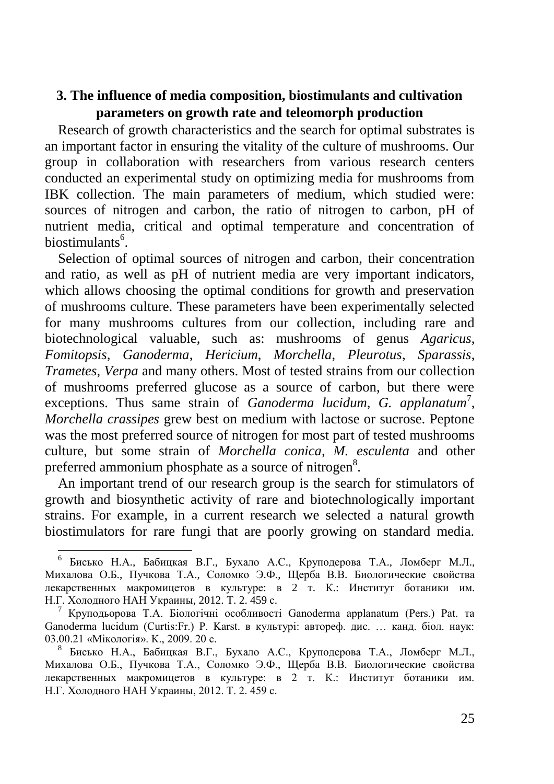### **3. The influence of media composition, biostimulants and cultivation parameters on growth rate and teleomorph production**

Research of growth characteristics and the search for optimal substrates is an important factor in ensuring the vitality of the culture of mushrooms. Our group in collaboration with researchers from various research centers conducted an experimental study on optimizing media for mushrooms from IBK collection. The main parameters of medium, which studied were: sources of nitrogen and carbon, the ratio of nitrogen to carbon, pH of nutrient media, critical and optimal temperature and concentration of biostimulants<sup>6</sup>.

Selection of optimal sources of nitrogen and carbon, their concentration and ratio, as well as pH of nutrient media are very important indicators, which allows choosing the optimal conditions for growth and preservation of mushrooms culture. These parameters have been experimentally selected for many mushrooms cultures from our collection, including rare and biotechnological valuable, such as: mushrooms of genus *Agaricus*, *Fomitopsis, Ganoderma*, *Hericium*, *Morchella*, *Pleurotus*, *Sparassis*, *Trametes*, *Verpa* and many others. Most of tested strains from our collection of mushrooms preferred glucose as a source of carbon, but there were exceptions. Thus same strain of *Ganoderma lucidum*, *G. applanatum<sup>7</sup>*, *Morchella crassipes* grew best on medium with lactose or sucrose. Peptone was the most preferred source of nitrogen for most part of tested mushrooms culture, but some strain of *Morchella conica, M. esculenta* and other preferred ammonium phosphate as a source of nitrogen<sup>8</sup>.

An important trend of our research group is the search for stimulators of growth and biosynthetic activity of rare and biotechnologically important strains. For example, in a current research we selected a natural growth biostimulators for rare fungi that are poorly growing on standard media.

<sup>6</sup> Бисько Н.А., Бабицкая В.Г., Бухало А.С., Круподерова Т.А., Ломберг М.Л., Михалова О.Б., Пучкова Т.А., Соломко Э.Ф., Щерба В.В. Биологические свойства лекарственных макромицетов в культуре: в 2 т. К.: Институт ботаники им. Н.Г. Холодного НАН Украины, 2012. Т. 2. 459 с.

<sup>7</sup> Круподьорова Т.А. Біологічні особливості Ganoderma applanatum (Pers.) Pat. та Ganoderma lucidum (Curtis:Fr.) P. Karst. в культурі: автореф. дис. … канд. біол. наук: 03.00.21 «Мікологія». К., 2009. 20 с.

<sup>8</sup> Бисько Н.А., Бабицкая В.Г., Бухало А.С., Круподерова Т.А., Ломберг М.Л., Михалова О.Б., Пучкова Т.А., Соломко Э.Ф., Щерба В.В. Биологические свойства лекарственных макромицетов в культуре: в 2 т. К.: Институт ботаники им. Н.Г. Холодного НАН Украины, 2012. Т. 2. 459 с.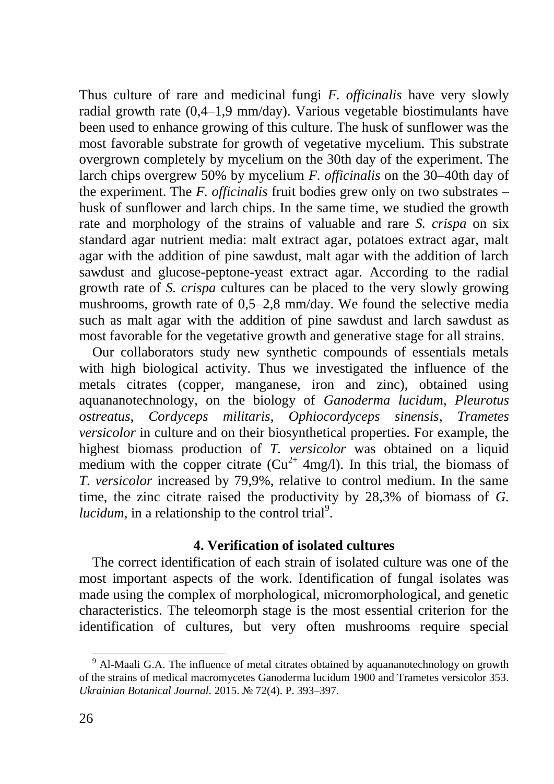Thus culture of rare and medicinal fungi *F. officinalis* have very slowly radial growth rate (0,4–1,9 mm/day). Various vegetable biostimulants have been used to enhance growing of this culture. The husk of sunflower was the most favorable substrate for growth of vegetative mycelium. This substrate overgrown completely by mycelium on the 30th day of the experiment. The larch chips overgrew 50% by mycelium *F. officinalis* on the 30–40th day of the experiment. The *F. officinalis* fruit bodies grew only on two substrates – husk of sunflower and larch chips. In the same time, we studied the growth rate and morphology of the strains of valuable and rare *S. crispa* on six standard agar nutrient media: malt extract agar, potatoes extract agar, malt agar with the addition of pine sawdust, malt agar with the addition of larch sawdust and glucose-peptone-yeast extract agar. According to the radial growth rate of *S. crispa* cultures can be placed to the very slowly growing mushrooms, growth rate of 0,5–2,8 mm/day. We found the selective media such as malt agar with the addition of pine sawdust and larch sawdust as most favorable for the vegetative growth and generative stage for all strains.

Our collaborators study new synthetic compounds of essentials metals with high biological activity. Thus we investigated the influence of the metals citrates (copper, manganese, iron and zinc), obtained using aquananotechnology, on the biology of *Ganoderma lucidum*, *Pleurotus ostreatus*, *Cordyceps militaris*, *Ophiocordyceps sinensis*, *Trametes versicolor* in culture and on their biosynthetical properties. For example, the highest biomass production of *T. versicolor* was obtained on a liquid medium with the copper citrate  $Cu^{2+}$  4mg/l). In this trial, the biomass of *T. versicolor* increased by 79,9%, relative to control medium. In the same time, the zinc citrate raised the productivity by 28,3% of biomass of *G.*   $lucidum$ , in a relationship to the control trial<sup>9</sup>.

### **4. Verification of isolated cultures**

The correct identification of each strain of isolated culture was one of the most important aspects of the work. Identification of fungal isolates was made using the complex of morphological, micromorphological, and genetic characteristics. The teleomorph stage is the most essential criterion for the identification of cultures, but very often mushrooms require special

 $9$  Al-Maali G.A. The influence of metal citrates obtained by aquananotechnology on growth of the strains of medical macromycetes Ganoderma lucidum 1900 and Trametes versicolor 353. *Ukrainian Botanical Journal*. 2015. № 72(4). P. 393–397.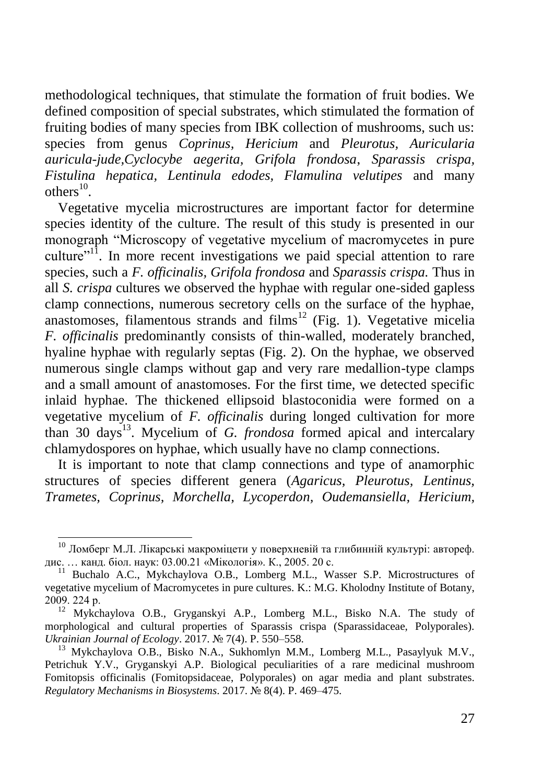methodological techniques, that stimulate the formation of fruit bodies. We defined composition of special substrates, which stimulated the formation of fruiting bodies of many species from IBK collection of mushrooms, such us: species from genus *Coprinus, Hericium* and *Pleurotus, Auricularia auricula-jude,Cyclocybe aegerita, Grifola frondosa*, *Sparassis crispa, Fistulina hepatica, Lentinula edodes, Flamulina velutipes* and many others $^{10}$ .

Vegetative mycelia microstructures are important factor for determine species identity of the culture. The result of this study is presented in our monograph "Microscopy of vegetative mycelium of macromycetes in pure culture"<sup>11</sup>. In more recent investigations we paid special attention to rare species, such a *F. officinalis, Grifola frondosa* and *Sparassis crispa.* Thus in all *S. crispa* cultures we observed the hyphae with regular one-sided gapless clamp connections, numerous secretory cells on the surface of the hyphae, anastomoses, filamentous strands and films<sup>12</sup> (Fig. 1). Vegetative micelia *F. officinalis* predominantly consists of thin-walled, moderately branched, hyaline hyphae with regularly septas (Fig. 2). On the hyphae, we observed numerous single clamps without gap and very rare medallion-type clamps and a small amount of anastomoses. For the first time, we detected specific inlaid hyphae. The thickened ellipsoid blastoconidia were formed on a vegetative mycelium of *F. officinalis* during longed cultivation for more than 30 days<sup>13</sup>. Mycelium of *G. frondosa* formed apical and intercalary chlamydospores on hyphae, which usually have no clamp connections.

It is important to note that clamp connections and type of anamorphic structures of species different genera (*Agaricus, Pleurotus, Lentinus, Trametes, Coprinus, Morchella, Lycoperdon, Oudemansiella, Hericium,* 

 $^{10}$  Ломберг М.Л. Лікарські макроміцети у поверхневій та глибинній культурі: автореф. дис. … канд. біол. наук: 03.00.21 «Мікологія». К., 2005. 20 с.

<sup>&</sup>lt;sup>11</sup> Buchalo A.C., Mykchaylova O.B., Lomberg M.L., Wasser S.P. Microstructures of vegetative mycelium of Macromycetes in pure cultures. K.: M.G. Kholodny Institute of Botany, 2009. 224 р.

 $12$  Mykchaylova O.B., Gryganskyi A.P., Lomberg M.L., Bisko N.A. The study of morphological and cultural properties of Sparassis crispa (Sparassidaceae, Polyporales). *Ukrainian Journal of Ecology*. 2017. № 7(4). P. 550–558.

<sup>&</sup>lt;sup>13</sup> Mykchaylova O.B., Bisko N.A., Sukhomlyn M.M., Lomberg M.L., Pasaylyuk M.V., Petrichuk Y.V., Gryganskyi A.P. Biological peculiarities of a rare medicinal mushroom Fomitopsis officinalis (Fomitopsidaceae, Polyporales) on agar media and plant substrates. *Regulatory Mechanisms in Biosystems*. 2017. № 8(4). P. 469–475.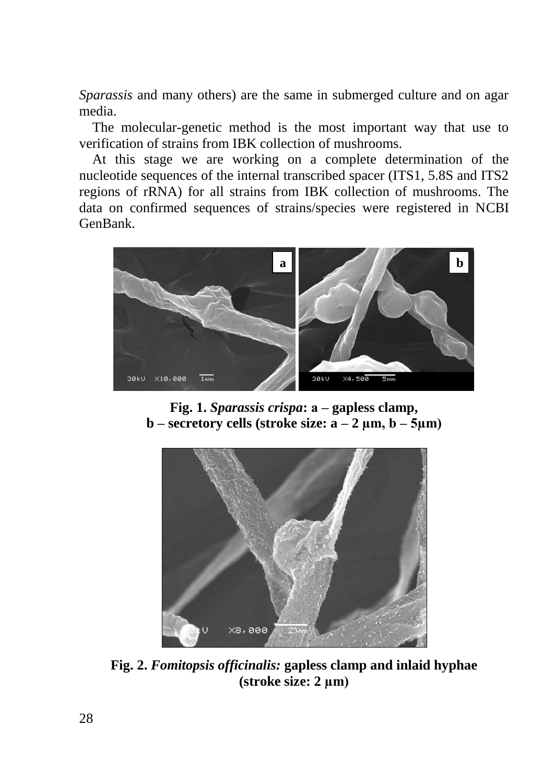*Sparassis* and many others) are the same in submerged culture and on agar media.

The molecular-genetic method is the most important way that use to verification of strains from IBK collection of mushrooms.

At this stage we are working on a complete determination of the nucleotide sequences of the internal transcribed spacer (ITS1, 5.8S and ITS2 regions of rRNA) for all strains from IBK collection of mushrooms. The data on confirmed sequences of strains/species were registered in NCBI GenBank.



**Fig. 1.** *Sparassis crispa***: а – gapless clamp, – <b>secretory cells** (**stroke size: –**  $2 \mu$ **<b>m**,  **–**  $5 \mu$ **<b>m**)



**Fig. 2.** *Fomitopsis officinalis:* **gapless clamp and inlaid hyphae (stroke size: 2 µm)**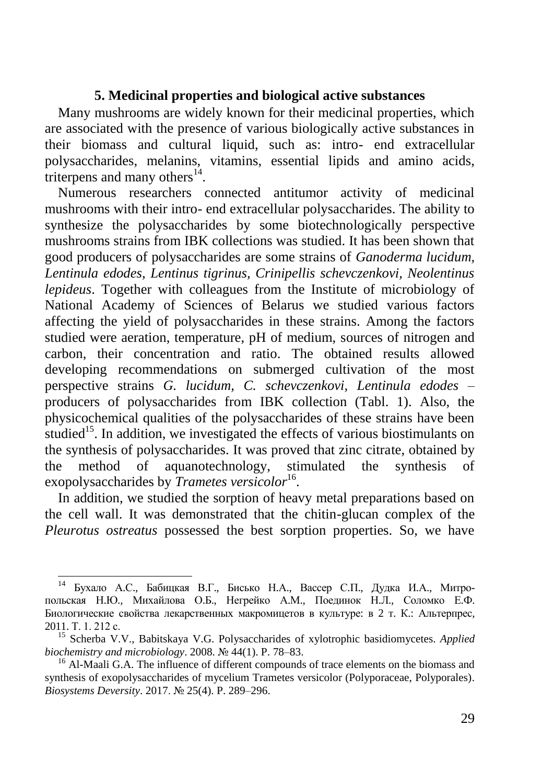## **5. Medicinal properties and biological active substances**

Many mushrooms are widely known for their medicinal properties, which are associated with the presence of various biologically active substances in their biomass and cultural liquid, such as: intro- end extracellular polysaccharides, melanins, vitamins, essential lipids and amino acids, triterpens and many others $^{14}$ .

Numerous researchers connected antitumor activity of medicinal mushrooms with their intro- end extracellular polysaccharides. The ability to synthesize the polysaccharides by some biotechnologically perspective mushrooms strains from IBK collections was studied. It has been shown that good producers of polysaccharides are some strains of *Ganoderma lucidum, Lentinula edodes, Lentinus tigrinus, Crinipellis schevczenkovi, Neolentinus lepideus*. Together with colleagues from the Institute of microbiology of National Academy of Sciences of Belarus we studied various factors affecting the yield of polysaccharides in these strains. Among the factors studied were aeration, temperature, pH of medium, sources of nitrogen and carbon, their concentration and ratio. The obtained results allowed developing recommendations on submerged cultivation of the most perspective strains *G. lucidum, C. schevczenkovi, Lentinula edodes –* producers of polysaccharides from IBK collection (Tabl. 1). Also, the physicochemical qualities of the polysaccharides of these strains have been studied<sup>15</sup>. In addition, we investigated the effects of various biostimulants on the synthesis of polysaccharides. It was proved that zinc citrate, obtained by the method of aquanotechnology, stimulated the synthesis of exopolysaccharides by *Trametes versicolor*<sup>16</sup>.

In addition, we studied the sorption of heavy metal preparations based on the cell wall. It was demonstrated that the chitin-glucan complex of the *Pleurotus ostreatus* possessed the best sorption properties. So, we have

Бухало А.С., Бабицкая В.Г., Бисько Н.А., Вассер С.П., Дудка И.А., Митропольская Н.Ю., Михайлова О.Б., Негрейко А.М., Поединок Н.Л., Соломко Е.Ф. Биологические свойства лекарственных макромицетов в культуре: в 2 т. К.: Альтерпрес, 2011. Т. 1. 212 с.

<sup>15</sup> Scherba V.V., Babitskaya V.G. Polysaccharides of xylotrophic basidiomycetes. *Applied biochemistry and microbiology*. 2008. № 44(1). P. 78–83.

<sup>&</sup>lt;sup>16</sup> Al-Maali G.A. The influence of different compounds of trace elements on the biomass and synthesis of exopolysaccharides of mycelium Trametes versicolor (Polyporaceae, Polyporales). *Biosystems Deversity*. 2017. № 25(4). P. 289–296.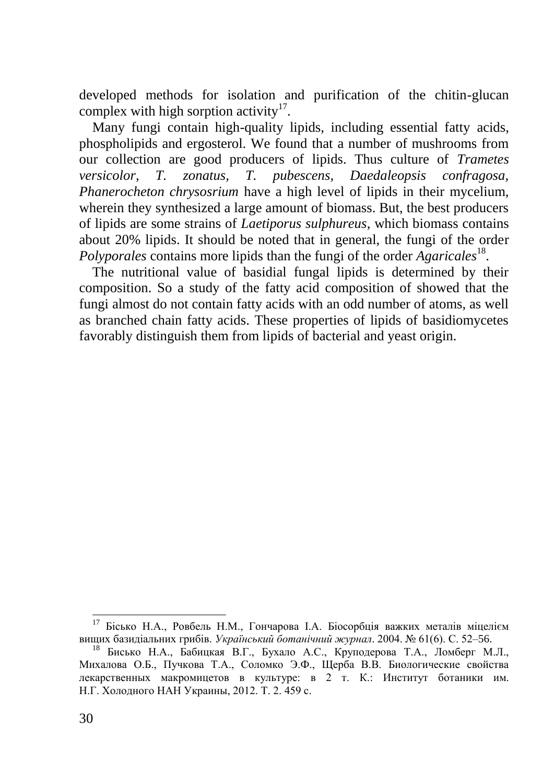developed methods for isolation and purification of the chitin-glucan complex with high sorption activity $17$ .

Many fungi contain high-quality lipids, including essential fatty acids, phospholipids and ergosterol. We found that a number of mushrooms from our collection are good producers of lipids. Thus culture of *Trametes versicolor, T. zonatus, T. pubescens, Daedaleopsis confragosa, Phanerocheton chrysosrium* have a high level of lipids in their mycelium, wherein they synthesized a large amount of biomass. But, the best producers of lipids are some strains of *Laetiporus sulphureus*, which biomass contains about 20% lipids. It should be noted that in general, the fungi of the order Polyporales contains more lipids than the fungi of the order *Agaricales*<sup>18</sup>.

The nutritional value of basidial fungal lipids is determined by their composition. So a study of the fatty acid composition of showed that the fungi almost do not contain fatty acids with an odd number of atoms, as well as branched chain fatty acids. These properties of lipids of basidiomycetes favorably distinguish them from lipids of bacterial and yeast origin.

 $17$  Бісько Н.А., Ровбель Н.М., Гончарова І.А. Біосорбція важких металів міцелієм вищих базидіальних грибів. *Український ботанічний журнал*. 2004. № 61(6). С. 52–56.

<sup>&</sup>lt;sup>18</sup> Бисько Н.А., Бабицкая В.Г., Бухало А.С., Круподерова Т.А., Ломберг М.Л., Михалова О.Б., Пучкова Т.А., Соломко Э.Ф., Щерба В.В. Биологические свойства лекарственных макромицетов в культуре: в 2 т. К.: Институт ботаники им. Н.Г. Холодного НАН Украины, 2012. Т. 2. 459 с.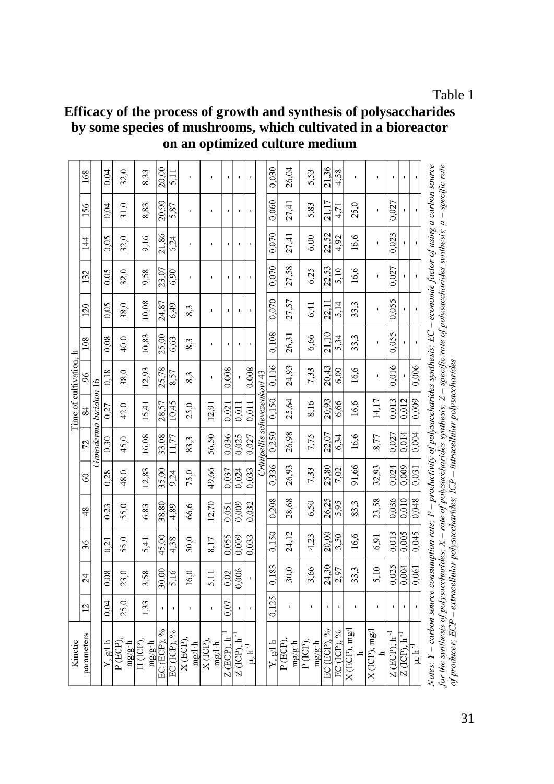## **Efficacy of the process of growth and synthesis of polysaccharides by some species of mushrooms, which cultivated in a bioreactor on an optimized culture medium**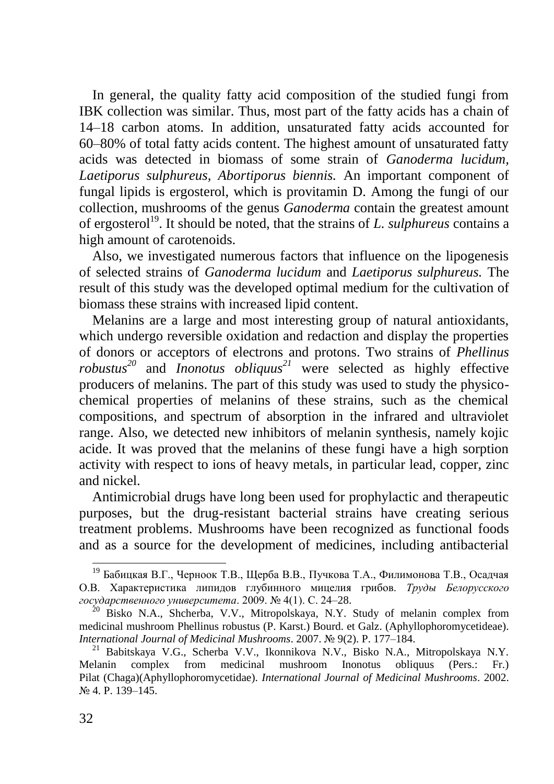In general, the quality fatty acid composition of the studied fungi from IBK collection was similar. Thus, most part of the fatty acids has a chain of 14–18 carbon atoms. In addition, unsaturated fatty acids accounted for 60–80% of total fatty acids content. The highest amount of unsaturated fatty acids was detected in biomass of some strain of *Ganoderma lucidum, Laetiporus sulphureus, Abortiporus biennis.* An important component of fungal lipids is ergosterol, which is provitamin D. Among the fungi of our collection, mushrooms of the genus *Ganoderma* contain the greatest amount of ergosterol<sup>19</sup>. It should be noted, that the strains of *L. sulphureus* contains a high amount of carotenoids.

Also, we investigated numerous factors that influence on the lipogenesis of selected strains of *Ganoderma lucidum* and *Laetiporus sulphureus.* The result of this study was the developed optimal medium for the cultivation of biomass these strains with increased lipid content.

Melanins are a large and most interesting group of natural antioxidants, which undergo reversible oxidation and redaction and display the properties of donors or acceptors of electrons and protons. Two strains of *Phellinus robustus<sup>20</sup>* and *Inonotus obliquus<sup>21</sup>* were selected as highly effective producers of melanins. The part of this study was used to study the physicochemical properties of melanins of these strains, such as the chemical compositions, and spectrum of absorption in the infrared and ultraviolet range. Also, we detected new inhibitors of melanin synthesis, namely kojic acide. It was proved that the melanins of these fungi have a high sorption activity with respect to ions of heavy metals, in particular lead, copper, zinc and nickel.

Antimicrobial drugs have long been used for prophylactic and therapeutic purposes, but the drug-resistant bacterial strains have creating serious treatment problems. Mushrooms have been recognized as functional foods and as a source for the development of medicines, including antibacterial

<sup>&</sup>lt;sup>19</sup> Бабицкая В.Г., Черноок Т.В., Щерба В.В., Пучкова Т.А., Филимонова Т.В., Осадчая О.В. Характеристика липидов глубинного мицелия грибов. *Труды Белорусского государственного университета*. 2009. № 4(1). С. 24–28.

<sup>&</sup>lt;sup>20</sup> Bisko N.A., Shcherba, V.V., Mitropolskaya, N.Y. Study of melanin complex from medicinal mushroom Phellinus robustus (P. Karst.) Bourd. et Galz. (Aphyllophoromycetideae). *International Journal of Medicinal Mushrooms*. 2007. № 9(2). P. 177–184.

<sup>21</sup> Babitskaya V.G., Scherba V.V., Ikonnikova N.V., Bisko N.A., Mitropolskaya N.Y. Melanin complex from medicinal mushroom Inonotus obliquus (Pers.: Fr.) Pilat (Chaga)(Aphyllophoromycetidae). *International Journal of Medicinal Mushrooms*. 2002. № 4. P. 139–145.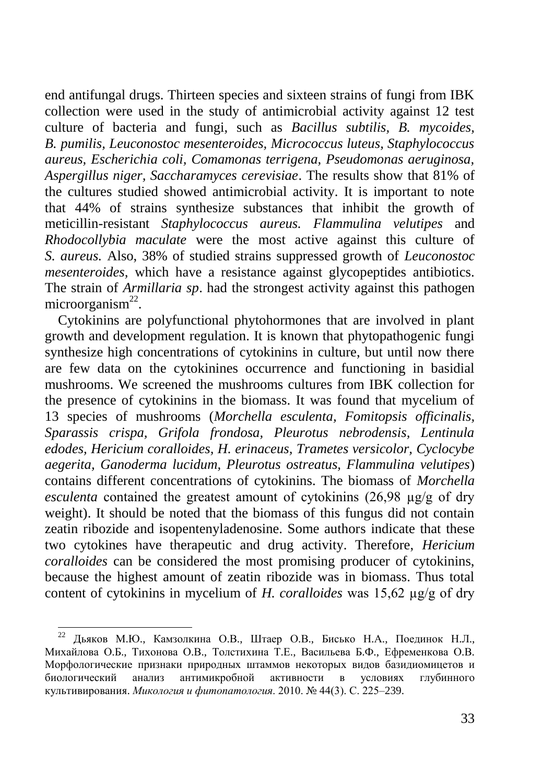end antifungal drugs. Thirteen species and sixteen strains of fungi from IBK collection were used in the study of antimicrobial activity against 12 test culture of bacteria and fungi, such as *Bacillus subtilis, B. mycoides, B. pumilis, Leuconostoc mesenteroides, Micrococcus luteus, Staphylococcus aureus, Escherichia coli, Comamonas terrigena, Pseudomonas aeruginosa, Aspergillus niger, Saccharamyces cerevisiae*. The results show that 81% of the cultures studied showed antimicrobial activity. It is important to note that 44% of strains synthesize substances that inhibit the growth of meticillin-resistant *Staphylococcus aureus. Flammulina velutipes* and *Rhodocollybia maculate* were the most active against this culture of *S. aureus.* Also, 38% of studied strains suppressed growth of *Leuconostoc mesenteroides,* which have a resistance against glycopeptides antibiotics. The strain of *Armillaria sp*. had the strongest activity against this pathogen microorganism $^{22}$ .

Cytokinins are polyfunctional phytohormones that are involved in plant growth and development regulation. It is known that phytopathogenic fungi synthesize high concentrations of cytokinins in culture, but until now there are few data on the cytokinines occurrence and functioning in basidial mushrooms. We screened the mushrooms cultures from IBK collection for the presence of cytokinins in the biomass. It was found that mycelium of 13 species of mushrooms (*Morchella esculenta, Fomitopsis officinalis, Sparassis crispa, Grifola frondosa, Pleurotus nebrodensis, Lentinula edodes, Hericium coralloides, H. erinaceus, Trametes versicolor, Cyclocybe aegerita, Ganoderma lucidum, Pleurotus ostreatus, Flammulina velutipes*) contains different concentrations of cytokinins. The biomass of *Morchella esculenta* contained the greatest amount of cytokinins (26,98 µg/g of dry weight). It should be noted that the biomass of this fungus did not contain zeatin ribozide and isopentenyladenosine. Some authors indicate that these two cytokines have therapeutic and drug activity. Therefore, *Hericium coralloides* can be considered the most promising producer of cytokinins, because the highest amount of zeatin ribozide was in biomass. Thus total content of cytokinins in mycelium of *H. coralloides* was 15,62 µg/g of dry

<sup>22</sup> Дьяков М.Ю., Камзолкина О.В., Штаер О.В., Бисько Н.А., Поединок Н.Л., Михайлова О.Б., Тихонова О.В., Толстихина Т.Е., Васильева Б.Ф., Ефременкова О.В. Морфологические признаки природных штаммов некоторых видов базидиомицетов и биологический анализ антимикробной активности в условиях глубинного культивирования. *Микология и фитопатология*. 2010. № 44(3). С. 225–239.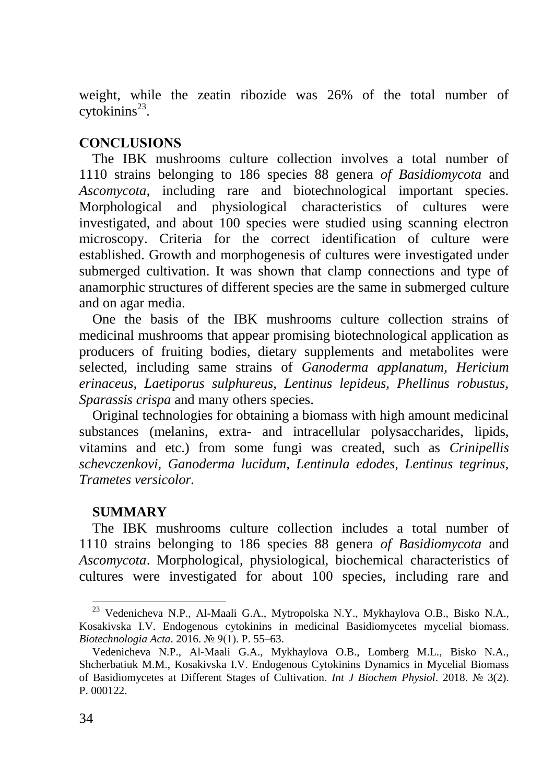weight, while the zeatin ribozide was 26% of the total number of  $cy$ tokinins<sup>23</sup>.

## **CONCLUSIONS**

The IBK mushrooms culture collection involves a total number of 1110 strains belonging to 186 species 88 genera *of Basidiomycota* and *Ascomycota*, including rare and biotechnological important species. Morphological and physiological characteristics of cultures were investigated, and about 100 species were studied using scanning electron microscopy. Criteria for the correct identification of culture were established. Growth and morphogenesis of cultures were investigated under submerged cultivation. It was shown that clamp connections and type of anamorphic structures of different species are the same in submerged culture and on agar media.

One the basis of the IBK mushrooms culture collection strains of medicinal mushrooms that appear promising biotechnological application as producers of fruiting bodies, dietary supplements and metabolites were selected, including same strains of *Ganoderma applanatum, Hericium erinaceus, Laetiporus sulphureus, Lentinus lepideus, Phellinus robustus, Sparassis crispa* and many others species.

Original technologies for obtaining a biomass with high amount medicinal substances (melanins, extra- and intracellular polysaccharides, lipids, vitamins and etc.) from some fungi was created, such as *Crinipellis schevczenkovi, Ganoderma lucidum, Lentinula edodes, Lentinus tegrinus, Trametes versicolor.*

### **SUMMARY**

The IBK mushrooms culture collection includes a total number of 1110 strains belonging to 186 species 88 genera *of Basidiomycota* and *Ascomycota*. Morphological, physiological, biochemical characteristics of cultures were investigated for about 100 species, including rare and

<sup>&</sup>lt;sup>23</sup> Vedenicheva N.P., Al-Maali G.A., Mytropolska N.Y., Mykhaylova O.B., Bisko N.A., Kosakivska I.V. Endogenous cytokinins in medicinal Basidiomycetes mycelial biomass. *Biotechnologia Acta*. 2016. № 9(1). P. 55–63.

Vedenicheva N.P., Al-Maali G.A., Mykhaylova O.B., Lomberg M.L., Bisko N.A., Shcherbatiuk M.M., Kosakivska I.V. Endogenous Cytokinins Dynamics in Mycelial Biomass of Basidiomycetes at Different Stages of Cultivation. *Int J Biochem Physiol*. 2018. № 3(2). P. 000122.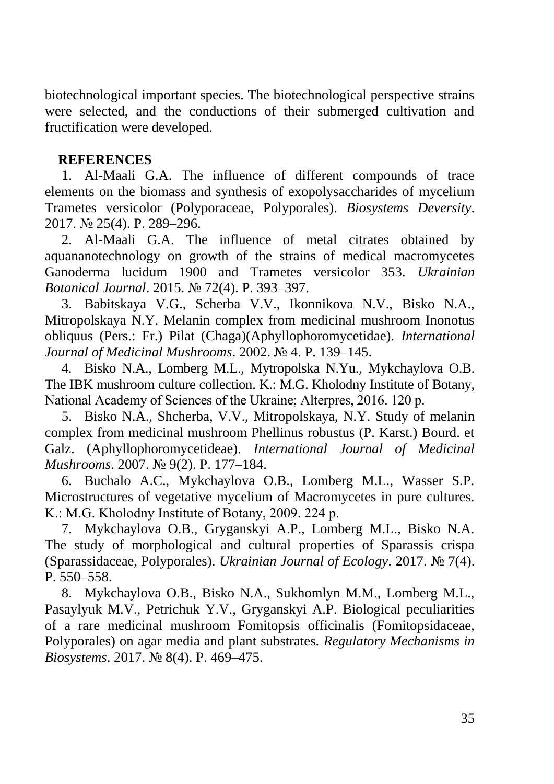biotechnological important species. The biotechnological perspective strains were selected, and the conductions of their submerged cultivation and fructification were developed.

### **REFERENCES**

1. Al-Maali G.A. The influence of different compounds of trace elements on the biomass and synthesis of exopolysaccharides of mycelium Trametes versicolor (Polyporaceae, Polyporales). *Biosystems Deversity*. 2017. № 25(4). P. 289–296.

2. Al-Maali G.A. The influence of metal citrates obtained by aquananotechnology on growth of the strains of medical macromycetes Ganoderma lucidum 1900 and Trametes versicolor 353. *Ukrainian Botanical Journal*. 2015. № 72(4). P. 393–397.

3. Babitskaya V.G., Scherba V.V., Ikonnikova N.V., Bisko N.A., Mitropolskaya N.Y. Melanin complex from medicinal mushroom Inonotus obliquus (Pers.: Fr.) Pilat (Chaga)(Aphyllophoromycetidae). *International Journal of Medicinal Mushrooms*. 2002. № 4. P. 139–145.

4. Bisko N.A., Lomberg M.L., Mytropolska N.Yu., Mykchaylova O.B. The IBK mushroom culture collection. K.: M.G. Kholodny Institute of Botany, National Academy of Sciences of the Ukraine; Alterpres, 2016. 120 р.

5. Bisko N.A., Shcherba, V.V., Mitropolskaya, N.Y. Study of melanin complex from medicinal mushroom Phellinus robustus (P. Karst.) Bourd. et Galz. (Aphyllophoromycetideae). *International Journal of Medicinal Mushrooms*. 2007. № 9(2). P. 177–184.

6. Buchalo A.C., Mykchaylova O.B., Lomberg M.L., Wasser S.P. Microstructures of vegetative mycelium of Macromycetes in pure cultures. K.: M.G. Kholodny Institute of Botany, 2009. 224 р.

7. Mykchaylova O.B., Gryganskyi A.P., Lomberg M.L., Bisko N.A. The study of morphological and cultural properties of Sparassis crispa (Sparassidaceae, Polyporales). *Ukrainian Journal of Ecology*. 2017. № 7(4). P. 550–558.

8. Mykchaylova O.B., Bisko N.A., Sukhomlyn M.M., Lomberg M.L., Pasaylyuk M.V., Petrichuk Y.V., Gryganskyi A.P. Biological peculiarities of a rare medicinal mushroom Fomitopsis officinalis (Fomitopsidaceae, Polyporales) on agar media and plant substrates. *Regulatory Mechanisms in Biosystems*. 2017. № 8(4). P. 469–475.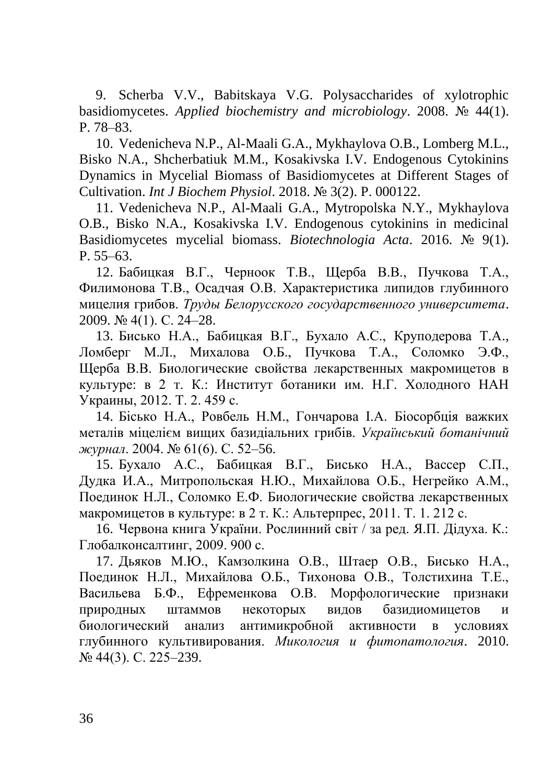9. Scherba V.V., Babitskaya V.G. Polysaccharides of xylotrophic basidiomycetes. *Applied biochemistry and microbiology*. 2008. № 44(1). P. 78–83.

10. Vedenicheva N.P., Al-Maali G.A., Mykhaylova O.B., Lomberg M.L., Bisko N.A., Shcherbatiuk M.M., Kosakivska I.V. Endogenous Cytokinins Dynamics in Mycelial Biomass of Basidiomycetes at Different Stages of Cultivation. *Int J Biochem Physiol*. 2018. № 3(2). P. 000122.

11. Vedenicheva N.P., Al-Maali G.A., Mytropolska N.Y., Mykhaylova O.B., Bisko N.A., Kosakivska I.V. Endogenous cytokinins in medicinal Basidiomycetes mycelial biomass. *Biotechnologia Acta*. 2016. № 9(1). P. 55–63.

12. Бабицкая В.Г., Черноок Т.В., Щерба В.В., Пучкова Т.А., Филимонова Т.В., Осадчая О.В. Характеристика липидов глубинного мицелия грибов. *Труды Белорусского государственного университета*. 2009. № 4(1). С. 24–28.

13. Бисько Н.А., Бабицкая В.Г., Бухало А.С., Круподерова Т.А., Ломберг М.Л., Михалова О.Б., Пучкова Т.А., Соломко Э.Ф., Щерба В.В. Биологические свойства лекарственных макромицетов в культуре: в 2 т. К.: Институт ботаники им. Н.Г. Холодного НАН Украины, 2012. Т. 2. 459 с.

14. Бісько Н.А., Ровбель Н.М., Гончарова І.А. Біосорбція важких металів міцелієм вищих базидіальних грибів. *Український ботанічний журнал*. 2004. № 61(6). С. 52–56.

15. Бухало А.С., Бабицкая В.Г., Бисько Н.А., Вассер С.П., Дудка И.А., Митропольская Н.Ю., Михайлова О.Б., Негрейко А.М., Поединок Н.Л., Соломко Е.Ф. Биологические свойства лекарственных макромицетов в культуре: в 2 т. К.: Альтерпрес, 2011. Т. 1. 212 с.

16. Червона книга України. Рослинний світ / за ред. Я.П. Дідуха. К.: Глобалконсалтинг, 2009. 900 с.

17. Дьяков М.Ю., Камзолкина О.В., Штаер О.В., Бисько Н.А., Поединок Н.Л., Михайлова О.Б., Тихонова О.В., Толстихина Т.Е., Васильева Б.Ф., Ефременкова О.В. Морфологические признаки природных штаммов некоторых видов базидиомицетов и биологический анализ антимикробной активности в условиях глубинного культивирования. *Микология и фитопатология*. 2010. № 44(3). С. 225–239.